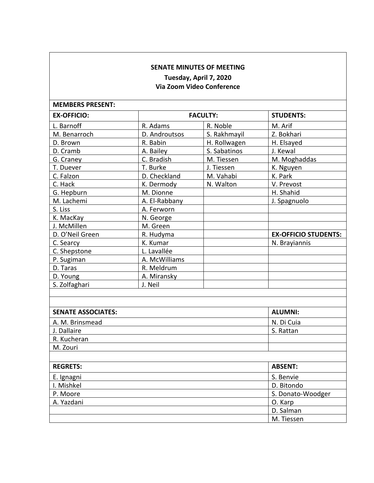## **SENATE MINUTES OF MEETING**

# **Tuesday, April 7, 2020 Via Zoom Video Conference**

| <b>MEMBERS PRESENT:</b>   |                 |              |                             |
|---------------------------|-----------------|--------------|-----------------------------|
| <b>EX-OFFICIO:</b>        | <b>FACULTY:</b> |              | <b>STUDENTS:</b>            |
| L. Barnoff                | R. Adams        | R. Noble     | M. Arif                     |
| M. Benarroch              | D. Androutsos   | S. Rakhmayil | Z. Bokhari                  |
| D. Brown                  | R. Babin        | H. Rollwagen | H. Elsayed                  |
| D. Cramb                  | A. Bailey       | S. Sabatinos | J. Kewal                    |
| G. Craney                 | C. Bradish      | M. Tiessen   | M. Moghaddas                |
| T. Duever                 | T. Burke        | J. Tiessen   | K. Nguyen                   |
| C. Falzon                 | D. Checkland    | M. Vahabi    | K. Park                     |
| C. Hack                   | K. Dermody      | N. Walton    | V. Prevost                  |
| G. Hepburn                | M. Dionne       |              | H. Shahid                   |
| M. Lachemi                | A. El-Rabbany   |              | J. Spagnuolo                |
| S. Liss                   | A. Ferworn      |              |                             |
| K. MacKay                 | N. George       |              |                             |
| J. McMillen               | M. Green        |              |                             |
| D. O'Neil Green           | R. Hudyma       |              | <b>EX-OFFICIO STUDENTS:</b> |
| C. Searcy                 | K. Kumar        |              | N. Brayiannis               |
| C. Shepstone              | L. Lavallée     |              |                             |
| P. Sugiman                | A. McWilliams   |              |                             |
| D. Taras                  | R. Meldrum      |              |                             |
| D. Young                  | A. Miransky     |              |                             |
| S. Zolfaghari             | J. Neil         |              |                             |
|                           |                 |              |                             |
|                           |                 |              |                             |
| <b>SENATE ASSOCIATES:</b> |                 |              | <b>ALUMNI:</b>              |
| A. M. Brinsmead           |                 |              | N. Di Cuia                  |
| J. Dallaire               |                 |              | S. Rattan                   |
| R. Kucheran               |                 |              |                             |
| M. Zouri                  |                 |              |                             |
|                           |                 |              |                             |
| <b>REGRETS:</b>           |                 |              | <b>ABSENT:</b>              |
| E. Ignagni                |                 |              | S. Benvie                   |
| I. Mishkel                |                 |              | D. Bitondo                  |
| P. Moore                  |                 |              | S. Donato-Woodger           |
| A. Yazdani                |                 |              | O. Karp                     |
|                           |                 |              | D. Salman                   |
|                           |                 |              | M. Tiessen                  |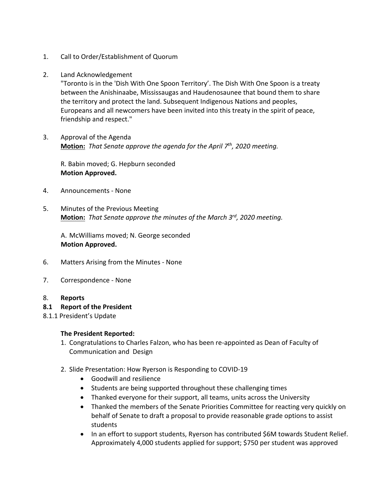- 1. Call to Order/Establishment of Quorum
- 2. Land Acknowledgement

"Toronto is in the 'Dish With One Spoon Territory'. The Dish With One Spoon is a treaty between the Anishinaabe, Mississaugas and Haudenosaunee that bound them to share the territory and protect the land. Subsequent Indigenous Nations and peoples, Europeans and all newcomers have been invited into this treaty in the spirit of peace, friendship and respect."

3. Approval of the Agenda **Motion:** *That Senate approve the agenda for the April 7th, 2020 meeting.*

R. Babin moved; G. Hepburn seconded **Motion Approved.**

- 4. Announcements None
- 5. Minutes of the Previous Meeting **Motion:** *That Senate approve the minutes of the March 3rd , 2020 meeting.*

A. McWilliams moved; N. George seconded **Motion Approved.** 

- 6. Matters Arising from the Minutes None
- 7. Correspondence None
- 8. **Reports**
- **8.1 Report of the President**
- 8.1.1 President's Update

#### **The President Reported:**

- 1. Congratulations to Charles Falzon, who has been re-appointed as Dean of Faculty of Communication and Design
- 2. Slide Presentation: How Ryerson is Responding to COVID-19
	- Goodwill and resilience
	- Students are being supported throughout these challenging times
	- Thanked everyone for their support, all teams, units across the University
	- Thanked the members of the Senate Priorities Committee for reacting very quickly on behalf of Senate to draft a proposal to provide reasonable grade options to assist students
	- In an effort to support students, Ryerson has contributed \$6M towards Student Relief. Approximately 4,000 students applied for support; \$750 per student was approved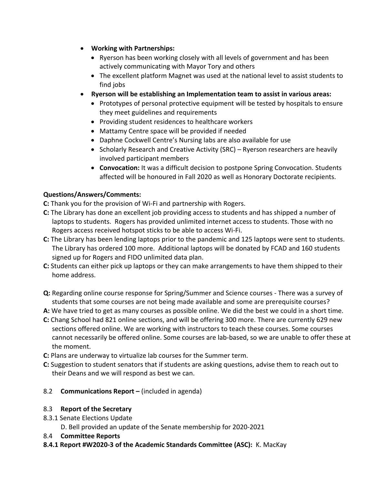- **Working with Partnerships:**
	- Ryerson has been working closely with all levels of government and has been actively communicating with Mayor Tory and others
	- The excellent platform Magnet was used at the national level to assist students to find jobs
- **Ryerson will be establishing an Implementation team to assist in various areas:** 
	- Prototypes of personal protective equipment will be tested by hospitals to ensure they meet guidelines and requirements
	- Providing student residences to healthcare workers
	- Mattamy Centre space will be provided if needed
	- Daphne Cockwell Centre's Nursing labs are also available for use
	- Scholarly Research and Creative Activity (SRC) Ryerson researchers are heavily involved participant members
	- **Convocation:** It was a difficult decision to postpone Spring Convocation. Students affected will be honoured in Fall 2020 as well as Honorary Doctorate recipients.

## **Questions/Answers/Comments:**

**C:** Thank you for the provision of Wi-Fi and partnership with Rogers.

- **C:** The Library has done an excellent job providing access to students and has shipped a number of laptops to students. Rogers has provided unlimited internet access to students. Those with no Rogers access received hotspot sticks to be able to access Wi-Fi.
- **C:** The Library has been lending laptops prior to the pandemic and 125 laptops were sent to students. The Library has ordered 100 more. Additional laptops will be donated by FCAD and 160 students signed up for Rogers and FIDO unlimited data plan.
- **C:** Students can either pick up laptops or they can make arrangements to have them shipped to their home address.
- **Q:** Regarding online course response for Spring/Summer and Science courses There was a survey of students that some courses are not being made available and some are prerequisite courses?
- **A:** We have tried to get as many courses as possible online. We did the best we could in a short time.
- **C:** Chang School had 821 online sections, and will be offering 300 more. There are currently 629 new sections offered online. We are working with instructors to teach these courses. Some courses cannot necessarily be offered online. Some courses are lab-based, so we are unable to offer these at the moment.
- **C:** Plans are underway to virtualize lab courses for the Summer term.
- **C:** Suggestion to student senators that if students are asking questions, advise them to reach out to their Deans and we will respond as best we can.
- 8.2 **Communications Report –** (included in agenda)

## 8.3 **Report of the Secretary**

- 8.3.1 Senate Elections Update
	- D. Bell provided an update of the Senate membership for 2020-2021
- 8.4 **Committee Reports**
- **8.4.1 Report #W2020-3 of the Academic Standards Committee (ASC):** K. MacKay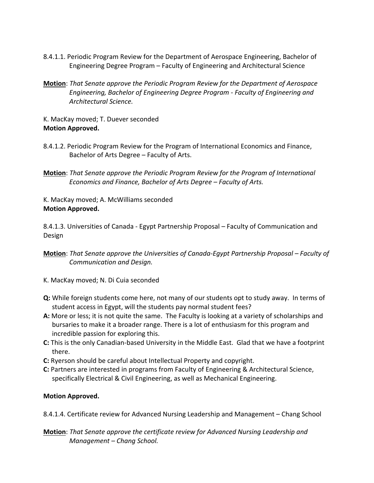- 8.4.1.1. Periodic Program Review for the Department of Aerospace Engineering, Bachelor of Engineering Degree Program – Faculty of Engineering and Architectural Science
- **Motion**: *That Senate approve the Periodic Program Review for the Department of Aerospace Engineering, Bachelor of Engineering Degree Program - Faculty of Engineering and Architectural Science.*
- K. MacKay moved; T. Duever seconded **Motion Approved.**
- 8.4.1.2. Periodic Program Review for the Program of International Economics and Finance, Bachelor of Arts Degree – Faculty of Arts.
- **Motion**: *That Senate approve the Periodic Program Review for the Program of International Economics and Finance, Bachelor of Arts Degree – Faculty of Arts.*
- K. MacKay moved; A. McWilliams seconded **Motion Approved.**

8.4.1.3. Universities of Canada - Egypt Partnership Proposal – Faculty of Communication and Design

- **Motion:** That Senate approve the Universities of Canada-Egypt Partnership Proposal Faculty of *Communication and Design.*
- K. MacKay moved; N. Di Cuia seconded
- **Q:** While foreign students come here, not many of our students opt to study away. In terms of student access in Egypt, will the students pay normal student fees?
- **A:** More or less; it is not quite the same. The Faculty is looking at a variety of scholarships and bursaries to make it a broader range. There is a lot of enthusiasm for this program and incredible passion for exploring this.
- **C:** This is the only Canadian-based University in the Middle East. Glad that we have a footprint there.
- **C:** Ryerson should be careful about Intellectual Property and copyright.
- **C:** Partners are interested in programs from Faculty of Engineering & Architectural Science, specifically Electrical & Civil Engineering, as well as Mechanical Engineering.

## **Motion Approved.**

- 8.4.1.4. Certificate review for Advanced Nursing Leadership and Management Chang School
- **Motion**: *That Senate approve the certificate review for Advanced Nursing Leadership and Management – Chang School.*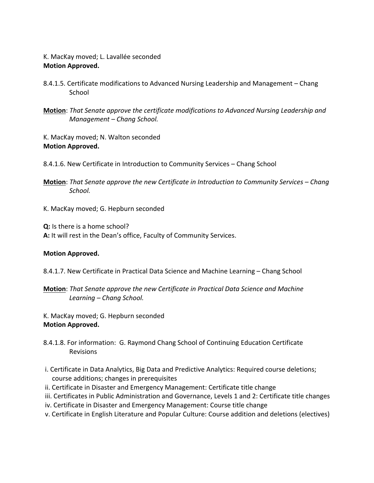K. MacKay moved; L. Lavallée seconded **Motion Approved.**

- 8.4.1.5. Certificate modifications to Advanced Nursing Leadership and Management Chang School
- **Motion**: *That Senate approve the certificate modifications to Advanced Nursing Leadership and Management – Chang School.*

K. MacKay moved; N. Walton seconded **Motion Approved.**

- 8.4.1.6. New Certificate in Introduction to Community Services Chang School
- **Motion**: *That Senate approve the new Certificate in Introduction to Community Services – Chang School.*
- K. MacKay moved; G. Hepburn seconded

**Q:** Is there is a home school? **A:** It will rest in the Dean's office, Faculty of Community Services.

#### **Motion Approved.**

- 8.4.1.7. New Certificate in Practical Data Science and Machine Learning Chang School
- **Motion**: *That Senate approve the new Certificate in Practical Data Science and Machine Learning – Chang School.*

K. MacKay moved; G. Hepburn seconded **Motion Approved.**

- 8.4.1.8. For information: G. Raymond Chang School of Continuing Education Certificate Revisions
- i. Certificate in Data Analytics, Big Data and Predictive Analytics: Required course deletions; course additions; changes in prerequisites
- ii. Certificate in Disaster and Emergency Management: Certificate title change
- iii. Certificates in Public Administration and Governance, Levels 1 and 2: Certificate title changes
- iv. Certificate in Disaster and Emergency Management: Course title change
- v. Certificate in English Literature and Popular Culture: Course addition and deletions (electives)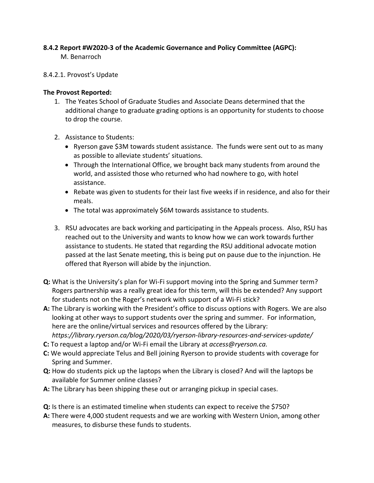## **8.4.2 Report #W2020-3 of the Academic Governance and Policy Committee (AGPC):**

M. Benarroch

## 8.4.2.1. Provost's Update

### **The Provost Reported:**

- 1. The Yeates School of Graduate Studies and Associate Deans determined that the additional change to graduate grading options is an opportunity for students to choose to drop the course.
- 2. Assistance to Students:
	- Ryerson gave \$3M towards student assistance. The funds were sent out to as many as possible to alleviate students' situations.
	- Through the International Office, we brought back many students from around the world, and assisted those who returned who had nowhere to go, with hotel assistance.
	- Rebate was given to students for their last five weeks if in residence, and also for their meals.
	- The total was approximately \$6M towards assistance to students.
- 3. RSU advocates are back working and participating in the Appeals process. Also, RSU has reached out to the University and wants to know how we can work towards further assistance to students. He stated that regarding the RSU additional advocate motion passed at the last Senate meeting, this is being put on pause due to the injunction. He offered that Ryerson will abide by the injunction.
- **Q:** What is the University's plan for Wi-Fi support moving into the Spring and Summer term? Rogers partnership was a really great idea for this term, will this be extended? Any support for students not on the Roger's network with support of a Wi-Fi stick?
- **A:** The Library is working with the President's office to discuss options with Rogers. We are also looking at other ways to support students over the spring and summer. For information, here are the online/virtual services and resources offered by the Library: *https://library.ryerson.ca/blog/2020/03/ryerson-library-resources-and-services-update/*
- **C:** To request a laptop and/or Wi-Fi email the Library at *access@ryerson.ca.*
- **C:** We would appreciate Telus and Bell joining Ryerson to provide students with coverage for Spring and Summer.
- **Q:** How do students pick up the laptops when the Library is closed? And will the laptops be available for Summer online classes?
- **A:** The Library has been shipping these out or arranging pickup in special cases.
- **Q:** Is there is an estimated timeline when students can expect to receive the \$750?
- **A:** There were 4,000 student requests and we are working with Western Union, among other measures, to disburse these funds to students.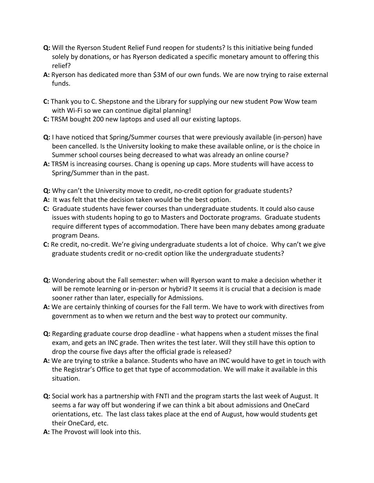- **Q:** Will the Ryerson Student Relief Fund reopen for students? Is this initiative being funded solely by donations, or has Ryerson dedicated a specific monetary amount to offering this relief?
- **A:** Ryerson has dedicated more than \$3M of our own funds. We are now trying to raise external funds.
- **C:** Thank you to C. Shepstone and the Library for supplying our new student Pow Wow team with Wi-Fi so we can continue digital planning!
- **C:** TRSM bought 200 new laptops and used all our existing laptops.
- **Q:** I have noticed that Spring/Summer courses that were previously available (in-person) have been cancelled. Is the University looking to make these available online, or is the choice in Summer school courses being decreased to what was already an online course?
- **A:** TRSM is increasing courses. Chang is opening up caps. More students will have access to Spring/Summer than in the past.
- **Q:** Why can't the University move to credit, no-credit option for graduate students?
- **A:** It was felt that the decision taken would be the best option.
- **C:** Graduate students have fewer courses than undergraduate students. It could also cause issues with students hoping to go to Masters and Doctorate programs. Graduate students require different types of accommodation. There have been many debates among graduate program Deans.
- **C:** Re credit, no-credit. We're giving undergraduate students a lot of choice. Why can't we give graduate students credit or no-credit option like the undergraduate students?
- **Q:** Wondering about the Fall semester: when will Ryerson want to make a decision whether it will be remote learning or in-person or hybrid? It seems it is crucial that a decision is made sooner rather than later, especially for Admissions.
- **A:** We are certainly thinking of courses for the Fall term. We have to work with directives from government as to when we return and the best way to protect our community.
- **Q:** Regarding graduate course drop deadline what happens when a student misses the final exam, and gets an INC grade. Then writes the test later. Will they still have this option to drop the course five days after the official grade is released?
- **A:** We are trying to strike a balance. Students who have an INC would have to get in touch with the Registrar's Office to get that type of accommodation. We will make it available in this situation.
- **Q:** Social work has a partnership with FNTI and the program starts the last week of August. It seems a far way off but wondering if we can think a bit about admissions and OneCard orientations, etc. The last class takes place at the end of August, how would students get their OneCard, etc.
- **A:** The Provost will look into this.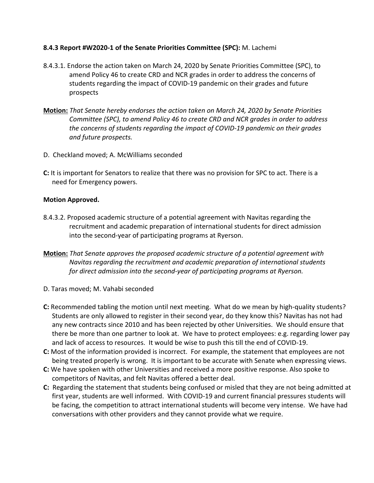#### **8.4.3 Report #W2020-1 of the Senate Priorities Committee (SPC):** M. Lachemi

- 8.4.3.1. Endorse the action taken on March 24, 2020 by Senate Priorities Committee (SPC), to amend Policy 46 to create CRD and NCR grades in order to address the concerns of students regarding the impact of COVID-19 pandemic on their grades and future prospects
- **Motion:** *That Senate hereby endorses the action taken on March 24, 2020 by Senate Priorities Committee (SPC), to amend Policy 46 to create CRD and NCR grades in order to address the concerns of students regarding the impact of COVID-19 pandemic on their grades and future prospects.*
- D. Checkland moved; A. McWilliams seconded
- **C:** It is important for Senators to realize that there was no provision for SPC to act. There is a need for Emergency powers.

### **Motion Approved.**

- 8.4.3.2. Proposed academic structure of a potential agreement with Navitas regarding the recruitment and academic preparation of international students for direct admission into the second-year of participating programs at Ryerson.
- **Motion:** *That Senate approves the proposed academic structure of a potential agreement with Navitas regarding the recruitment and academic preparation of international students for direct admission into the second-year of participating programs at Ryerson.*
- D. Taras moved; M. Vahabi seconded
- **C:** Recommended tabling the motion until next meeting. What do we mean by high-quality students? Students are only allowed to register in their second year, do they know this? Navitas has not had any new contracts since 2010 and has been rejected by other Universities. We should ensure that there be more than one partner to look at. We have to protect employees: e.g. regarding lower pay and lack of access to resources. It would be wise to push this till the end of COVID-19.
- **C:** Most of the information provided is incorrect. For example, the statement that employees are not being treated properly is wrong. It is important to be accurate with Senate when expressing views.
- **C:** We have spoken with other Universities and received a more positive response. Also spoke to competitors of Navitas, and felt Navitas offered a better deal.
- **C:** Regarding the statement that students being confused or misled that they are not being admitted at first year, students are well informed. With COVID-19 and current financial pressures students will be facing, the competition to attract international students will become very intense. We have had conversations with other providers and they cannot provide what we require.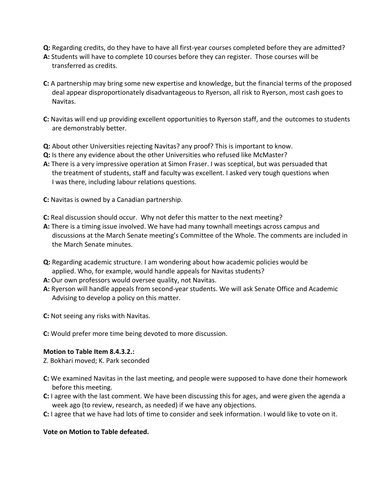- **Q:** Regarding credits, do they have to have all first-year courses completed before they are admitted?
- **A:** Students will have to complete 10 courses before they can register. Those courses will be transferred as credits.
- **C:** A partnership may bring some new expertise and knowledge, but the financial terms of the proposed deal appear disproportionately disadvantageous to Ryerson, all risk to Ryerson, most cash goes to Navitas.
- **C:** Navitas will end up providing excellent opportunities to Ryerson staff, and the outcomes to students are demonstrably better.
- **Q:** About other Universities rejecting Navitas? any proof? This is important to know.
- **Q:** Is there any evidence about the other Universities who refused like McMaster?
- **A:** There is a very impressive operation at Simon Fraser. I was sceptical, but was persuaded that the treatment of students, staff and faculty was excellent. I asked very tough questions when I was there, including labour relations questions.
- **C:** Navitas is owned by a Canadian partnership.
- **C:** Real discussion should occur. Why not defer this matter to the next meeting?
- **A:** There is a timing issue involved. We have had many townhall meetings across campus and discussions at the March Senate meeting's Committee of the Whole. The comments are included in the March Senate minutes.
- **Q:** Regarding academic structure. I am wondering about how academic policies would be applied. Who, for example, would handle appeals for Navitas students?
- **A:** Our own professors would oversee quality, not Navitas.
- **A:** Ryerson will handle appeals from second-year students. We will ask Senate Office and Academic Advising to develop a policy on this matter.
- **C:** Not seeing any risks with Navitas.
- **C:** Would prefer more time being devoted to more discussion.

#### **Motion to Table Item 8.4.3.2.:**

- Z. Bokhari moved; K. Park seconded
- **C:** We examined Navitas in the last meeting, and people were supposed to have done their homework before this meeting.
- **C:** I agree with the last comment. We have been discussing this for ages, and were given the agenda a week ago (to review, research, as needed) if we have any objections.
- **C:** I agree that we have had lots of time to consider and seek information. I would like to vote on it.

## **Vote on Motion to Table defeated.**